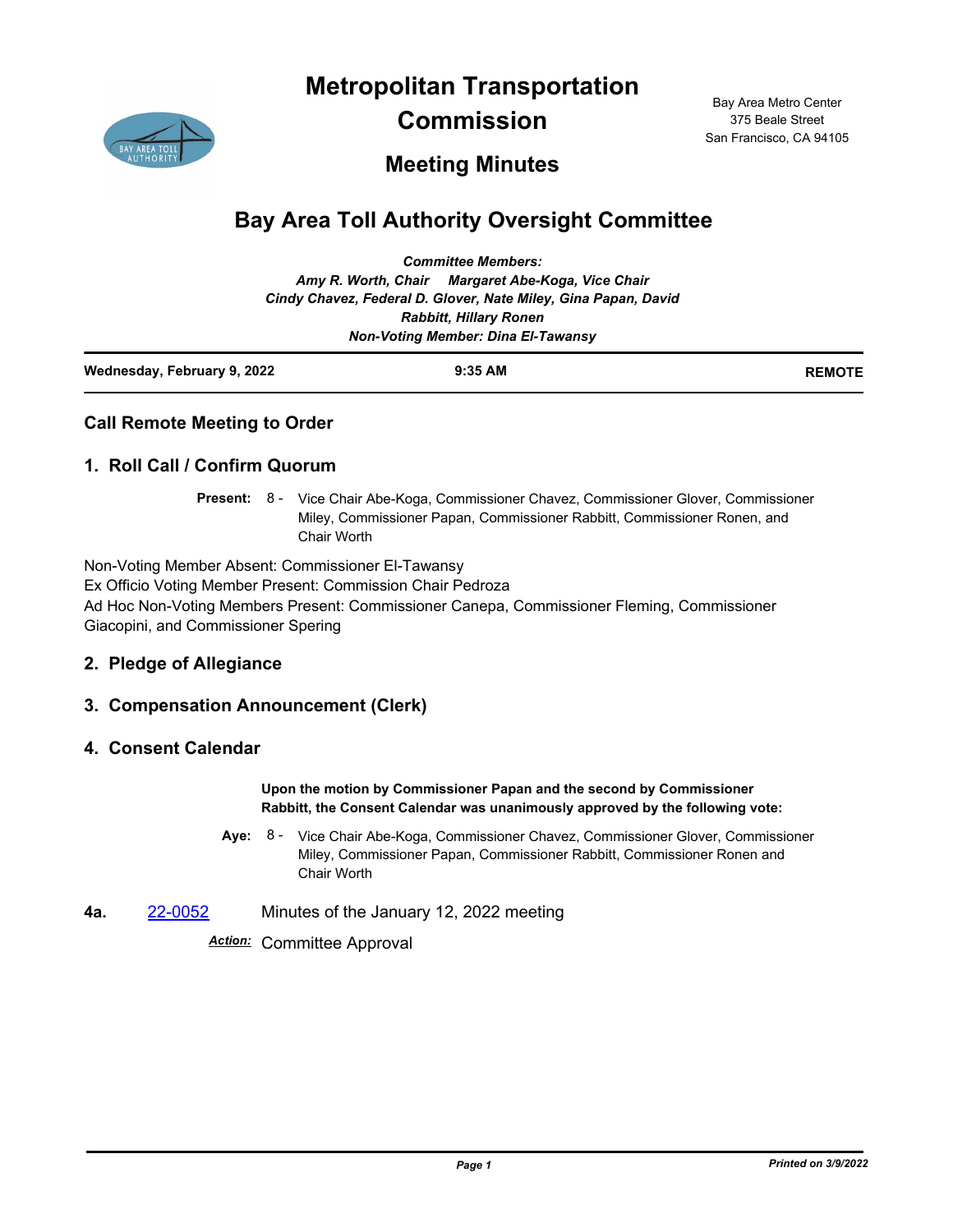**Metropolitan Transportation** 



**Commission**

Bay Area Metro Center 375 Beale Street San Francisco, CA 94105

## **Meeting Minutes**

# **Bay Area Toll Authority Oversight Committee**

| Wednesday, February 9, 2022 | $9:35$ AM                                                      | <b>REMOTE</b> |
|-----------------------------|----------------------------------------------------------------|---------------|
|                             | <b>Non-Voting Member: Dina El-Tawansy</b>                      |               |
|                             | <b>Rabbitt, Hillary Ronen</b>                                  |               |
|                             | Cindy Chavez, Federal D. Glover, Nate Miley, Gina Papan, David |               |
|                             | Amy R. Worth, Chair Margaret Abe-Koga, Vice Chair              |               |
|                             | <b>Committee Members:</b>                                      |               |

## **Call Remote Meeting to Order**

#### **1. Roll Call / Confirm Quorum**

Present: 8 - Vice Chair Abe-Koga, Commissioner Chavez, Commissioner Glover, Commissioner Miley, Commissioner Papan, Commissioner Rabbitt, Commissioner Ronen, and Chair Worth

Non-Voting Member Absent: Commissioner El-Tawansy Ex Officio Voting Member Present: Commission Chair Pedroza Ad Hoc Non-Voting Members Present: Commissioner Canepa, Commissioner Fleming, Commissioner Giacopini, and Commissioner Spering

#### **2. Pledge of Allegiance**

## **3. Compensation Announcement (Clerk)**

#### **4. Consent Calendar**

**Upon the motion by Commissioner Papan and the second by Commissioner Rabbitt, the Consent Calendar was unanimously approved by the following vote:**

- Aye: 8 Vice Chair Abe-Koga, Commissioner Chavez, Commissioner Glover, Commissioner Miley, Commissioner Papan, Commissioner Rabbitt, Commissioner Ronen and Chair Worth
- **4a.** [22-0052](http://mtc.legistar.com/gateway.aspx?m=l&id=/matter.aspx?key=23311) Minutes of the January 12, 2022 meeting

*Action:* Committee Approval